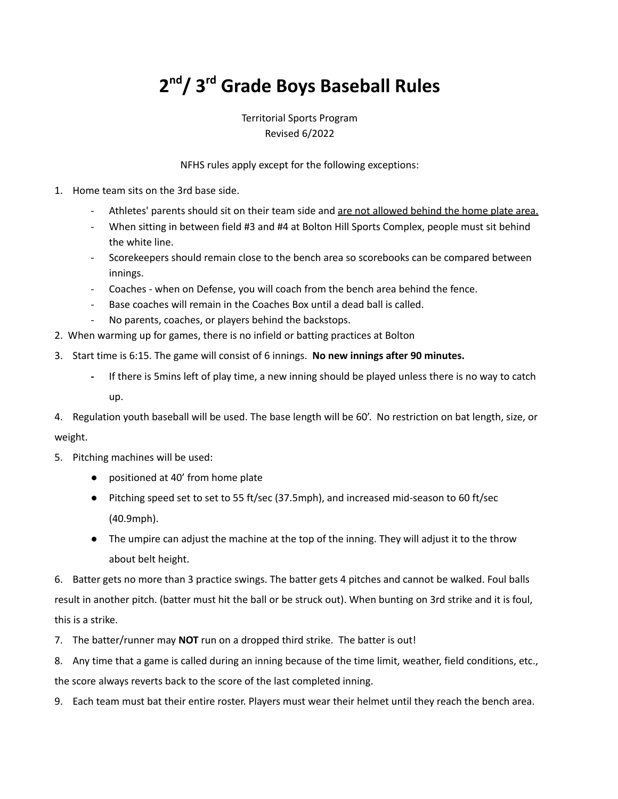## **2 nd/ 3 rd Grade Boys Baseball Rules**

Territorial Sports Program Revised 6/2022

NFHS rules apply except for the following exceptions:

- 1. Home team sits on the 3rd base side.
	- Athletes' parents should sit on their team side and are not allowed behind the home plate area.
	- When sitting in between field #3 and #4 at Bolton Hill Sports Complex, people must sit behind the white line.
	- Scorekeepers should remain close to the bench area so scorebooks can be compared between innings.
	- Coaches when on Defense, you will coach from the bench area behind the fence.
	- Base coaches will remain in the Coaches Box until a dead ball is called.
	- No parents, coaches, or players behind the backstops.
- 2. When warming up for games, there is no infield or batting practices at Bolton
- 3. Start time is 6:15. The game will consist of 6 innings. **No new innings after 90 minutes.**
	- **-** If there is 5mins left of play time, a new inning should be played unless there is no way to catch up.
- 4. Regulation youth baseball will be used. The base length will be 60'. No restriction on bat length, size, or weight.
- 5. Pitching machines will be used:
	- positioned at 40' from home plate
	- Pitching speed set to set to 55 ft/sec (37.5mph), and increased mid-season to 60 ft/sec (40.9mph).
	- The umpire can adjust the machine at the top of the inning. They will adjust it to the throw about belt height.

6. Batter gets no more than 3 practice swings. The batter gets 4 pitches and cannot be walked. Foul balls result in another pitch. (batter must hit the ball or be struck out). When bunting on 3rd strike and it is foul, this is a strike.

- 7. The batter/runner may **NOT** run on a dropped third strike. The batter is out!
- 8. Any time that a game is called during an inning because of the time limit, weather, field conditions, etc.,

the score always reverts back to the score of the last completed inning.

9. Each team must bat their entire roster. Players must wear their helmet until they reach the bench area.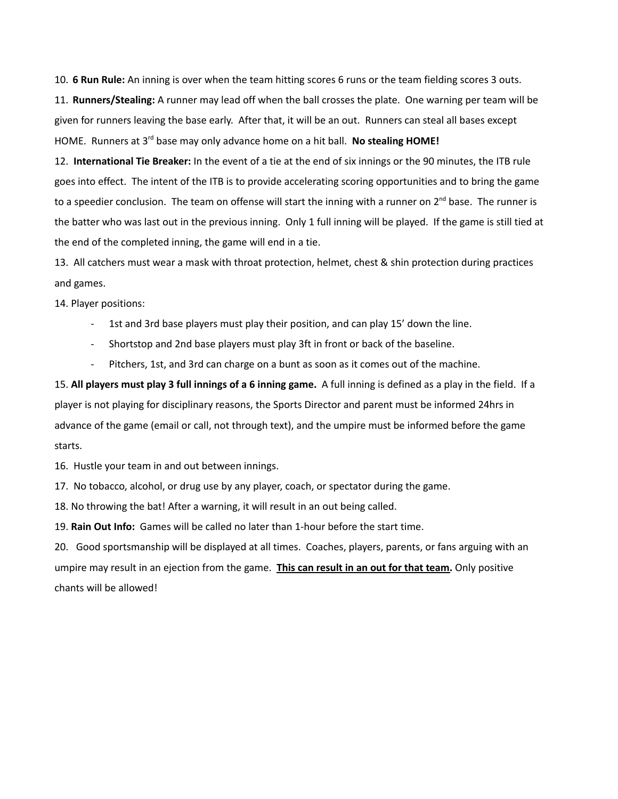10. **6 Run Rule:** An inning is over when the team hitting scores 6 runs or the team fielding scores 3 outs. 11. **Runners/Stealing:** A runner may lead off when the ball crosses the plate. One warning per team will be given for runners leaving the base early. After that, it will be an out. Runners can steal all bases except HOME. Runners at 3<sup>rd</sup> base may only advance home on a hit ball. No stealing HOME!

12. **International Tie Breaker:** In the event of a tie at the end of six innings or the 90 minutes, the ITB rule goes into effect. The intent of the ITB is to provide accelerating scoring opportunities and to bring the game to a speedier conclusion. The team on offense will start the inning with a runner on 2<sup>nd</sup> base. The runner is the batter who was last out in the previous inning. Only 1 full inning will be played. If the game is still tied at the end of the completed inning, the game will end in a tie.

13. All catchers must wear a mask with throat protection, helmet, chest & shin protection during practices and games.

14. Player positions:

- 1st and 3rd base players must play their position, and can play 15' down the line.
- Shortstop and 2nd base players must play 3ft in front or back of the baseline.
- Pitchers, 1st, and 3rd can charge on a bunt as soon as it comes out of the machine.

15. **All players must play 3 full innings of a 6 inning game.** A full inning is defined as a play in the field. If a player is not playing for disciplinary reasons, the Sports Director and parent must be informed 24hrs in advance of the game (email or call, not through text), and the umpire must be informed before the game starts.

16. Hustle your team in and out between innings.

17. No tobacco, alcohol, or drug use by any player, coach, or spectator during the game.

18. No throwing the bat! After a warning, it will result in an out being called.

19. **Rain Out Info:** Games will be called no later than 1-hour before the start time.

20. Good sportsmanship will be displayed at all times. Coaches, players, parents, or fans arguing with an umpire may result in an ejection from the game. **This can result in an out for that team.** Only positive chants will be allowed!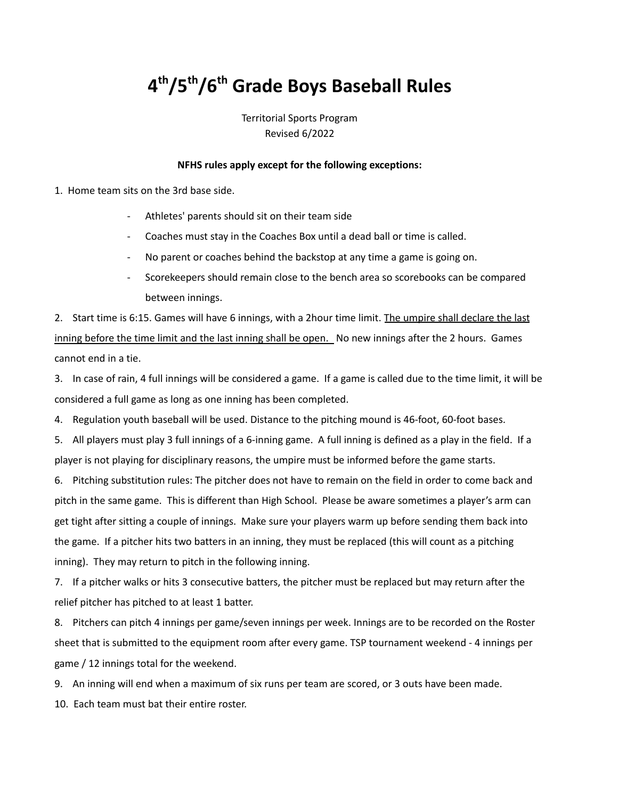## **4 th/5 th/6 th Grade Boys Baseball Rules**

Territorial Sports Program Revised 6/2022

## **NFHS rules apply except for the following exceptions:**

1. Home team sits on the 3rd base side.

- Athletes' parents should sit on their team side
- Coaches must stay in the Coaches Box until a dead ball or time is called.
- No parent or coaches behind the backstop at any time a game is going on.
- Scorekeepers should remain close to the bench area so scorebooks can be compared between innings.

2. Start time is 6:15. Games will have 6 innings, with a 2hour time limit. The umpire shall declare the last inning before the time limit and the last inning shall be open. No new innings after the 2 hours. Games cannot end in a tie.

3. In case of rain, 4 full innings will be considered a game. If a game is called due to the time limit, it will be considered a full game as long as one inning has been completed.

4. Regulation youth baseball will be used. Distance to the pitching mound is 46-foot, 60-foot bases.

5. All players must play 3 full innings of a 6-inning game. A full inning is defined as a play in the field. If a player is not playing for disciplinary reasons, the umpire must be informed before the game starts.

6. Pitching substitution rules: The pitcher does not have to remain on the field in order to come back and pitch in the same game. This is different than High School. Please be aware sometimes a player's arm can get tight after sitting a couple of innings. Make sure your players warm up before sending them back into the game. If a pitcher hits two batters in an inning, they must be replaced (this will count as a pitching inning). They may return to pitch in the following inning.

7. If a pitcher walks or hits 3 consecutive batters, the pitcher must be replaced but may return after the relief pitcher has pitched to at least 1 batter.

8. Pitchers can pitch 4 innings per game/seven innings per week. Innings are to be recorded on the Roster sheet that is submitted to the equipment room after every game. TSP tournament weekend - 4 innings per game / 12 innings total for the weekend.

9. An inning will end when a maximum of six runs per team are scored, or 3 outs have been made.

10. Each team must bat their entire roster.